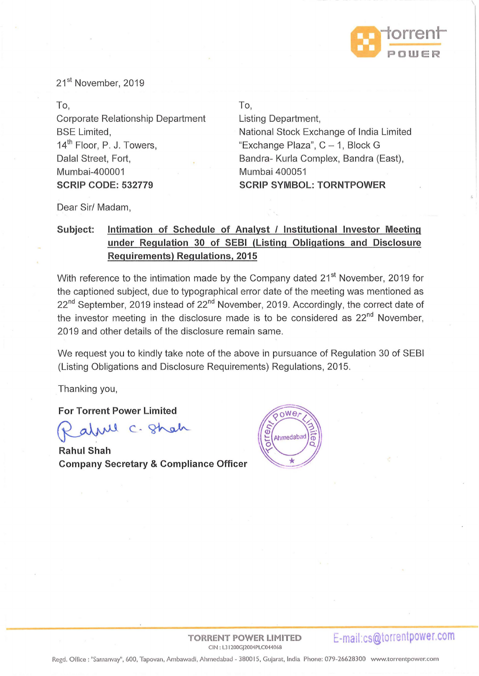

21<sup>st</sup> November, 2019

### To,

Corporate Relationship Department BSE Limited, 14<sup>th</sup> Floor, P. J. Towers, Dalal Street, Fort, Mumbai-400001 **SCRIP CODE: 532779** 

#### To,

Listing Department, National Stock Exchange of India Limited "Exchange Plaza",  $C - 1$ , Block G Sandra- Kurla Complex, Sandra (East), Mumbai 400051 **SCRIP SYMBOL: TORNTPOWER** 

Dear Sir/ Madam,

# Subject: Intimation of Schedule of Analyst / Institutional Investor Meeting **under Regulation 30 of SEBI (Listing Obligations and Disclosure Requirements) Regulations, 2015**

With reference to the intimation made by the Company dated 21<sup>st</sup> November, 2019 for the captioned subject, due to typographical error date of the meeting was mentioned as 22<sup>nd</sup> September, 2019 instead of 22<sup>nd</sup> November, 2019. Accordingly, the correct date of the investor meeting in the disclosure made is to be considered as  $22<sup>nd</sup>$  November, 2019 and other details of the disclosure remain same.

We request you to kindly take note of the above in pursuance of Regulation 30 of SEBI (Listing Obligations and Disclosure Requirements) Regulations, 2015.

Thanking you,

**For Torrent Power Limited** 

Ml C. Shah

**Rahul Shah Company Secretary & Compliance Officer** 



CIN : L3 I 200GJ2004PLC044068

**TORRENT POWER LIMITED E-mail:cs@torrentpower.com**